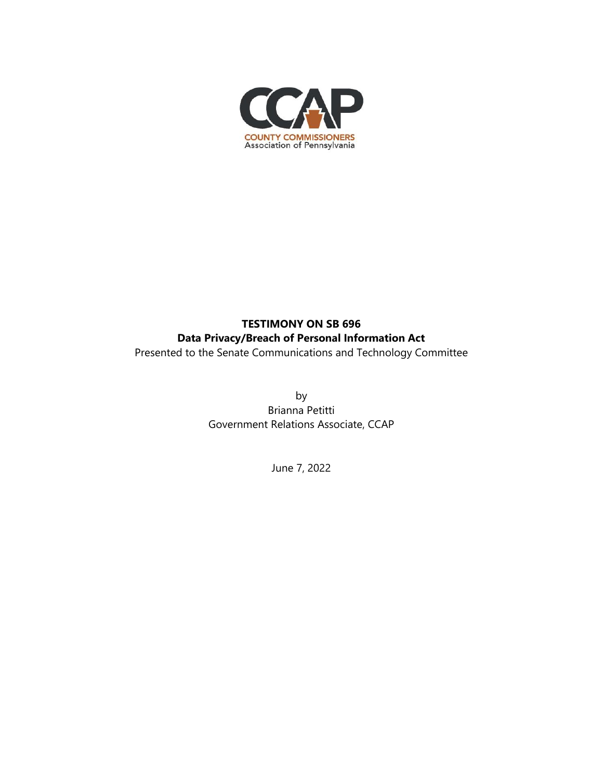

## **TESTIMONY ON SB 696 Data Privacy/Breach of Personal Information Act**

Presented to the Senate Communications and Technology Committee

by Brianna Petitti Government Relations Associate, CCAP

June 7, 2022